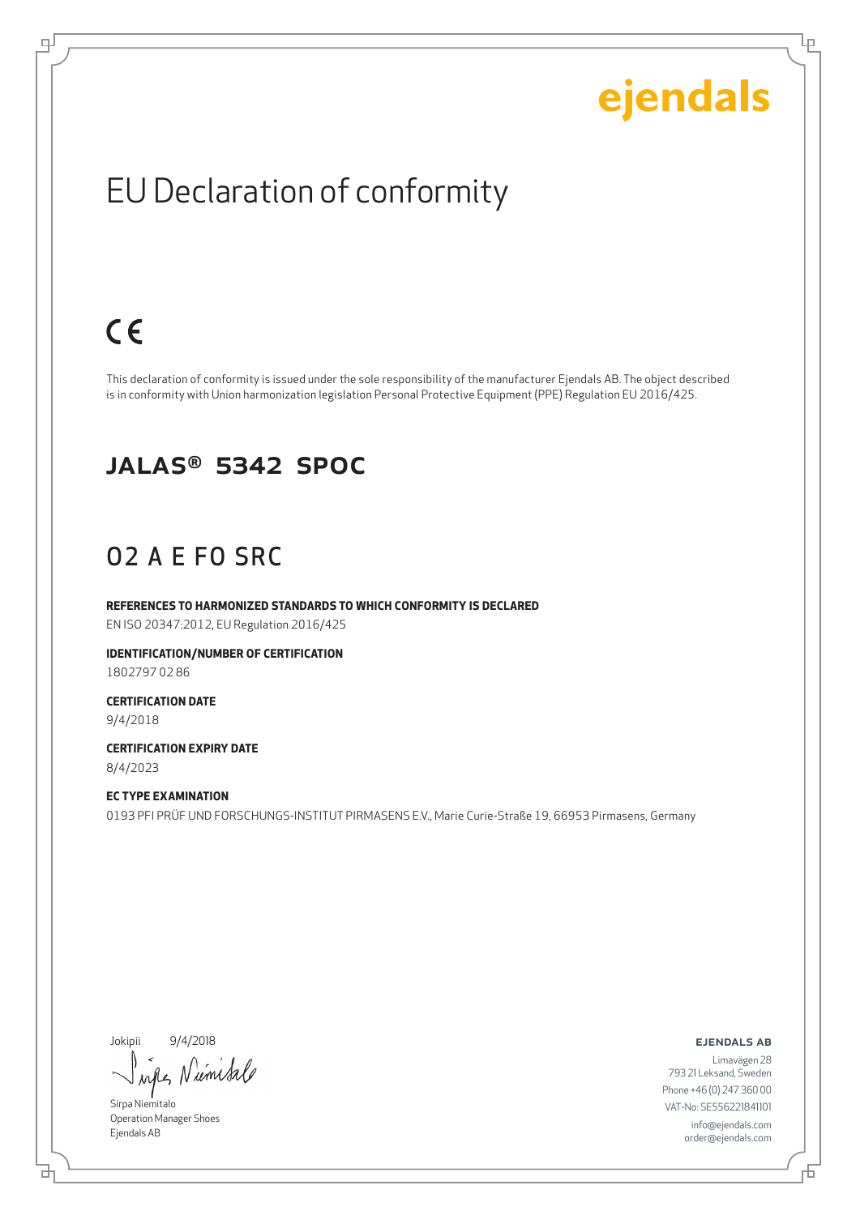Ļμ

## EU Declaration of conformity

## $C \in$

டி

This declaration of conformity is issued under the sole responsibility of the manufacturer Ejendals AB. The object described is in conformity with Union harmonization legislation Personal Protective Equipment (PPE) Regulation EU 2016/425.

#### JALAS® 5342 SpOc

### O2 A E FO SRC

**REFERENCES TO HARMONIZED STANDARDS TO WHICH CONFORMITY IS DECLARED** EN ISO 20347:2012, EU Regulation 2016/425

**IDENTIFICATION/NUMBER OF CERTIFICATION** 1802797 02 86

**CERTIFICATION DATE** 9/4/2018

**CERTIFICATION EXPIRY DATE** 8/4/2023

**EC TYPE EXAMINATION** 0193 PFI PRÜF UND FORSCHUNGS-INSTITUT PIRMASENS E.V., Marie Curie-Straße 19, 66953 Pirmasens, Germany

Jokipii 9/4/2018

umsa  $\lambda$ all

Sirpa Niemitalo Operation Manager Shoes Ejendals AB

ejendals ab

브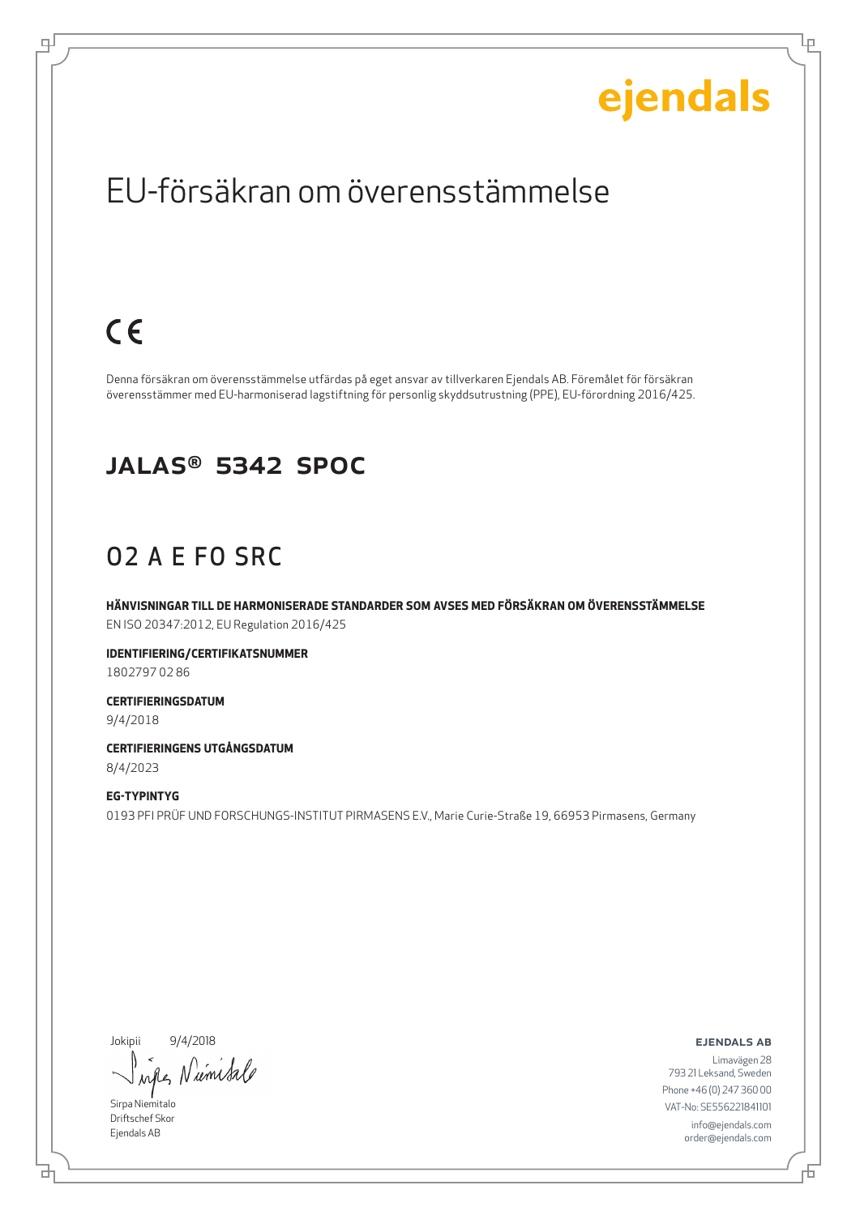Ļμ

## EU-försäkran om överensstämmelse

# $C \in$

டி

Denna försäkran om överensstämmelse utfärdas på eget ansvar av tillverkaren Ejendals AB. Föremålet för försäkran överensstämmer med EU-harmoniserad lagstiftning för personlig skyddsutrustning (PPE), EU-förordning 2016/425.

#### JALAS® 5342 SpOc

### O2 A E FO SRC

**HÄNVISNINGAR TILL DE HARMONISERADE STANDARDER SOM AVSES MED FÖRSÄKRAN OM ÖVERENSSTÄMMELSE** EN ISO 20347:2012, EU Regulation 2016/425

**IDENTIFIERING/CERTIFIKATSNUMMER** 1802797 02 86

**CERTIFIERINGSDATUM** 9/4/2018

**CERTIFIERINGENS UTGÅNGSDATUM** 8/4/2023

**EG-TYPINTYG** 0193 PFI PRÜF UND FORSCHUNGS-INSTITUT PIRMASENS E.V., Marie Curie-Straße 19, 66953 Pirmasens, Germany

Jokipii 9/4/2018

Niemisale when

Sirpa Niemitalo Driftschef Skor Ejendals AB

ejendals ab

브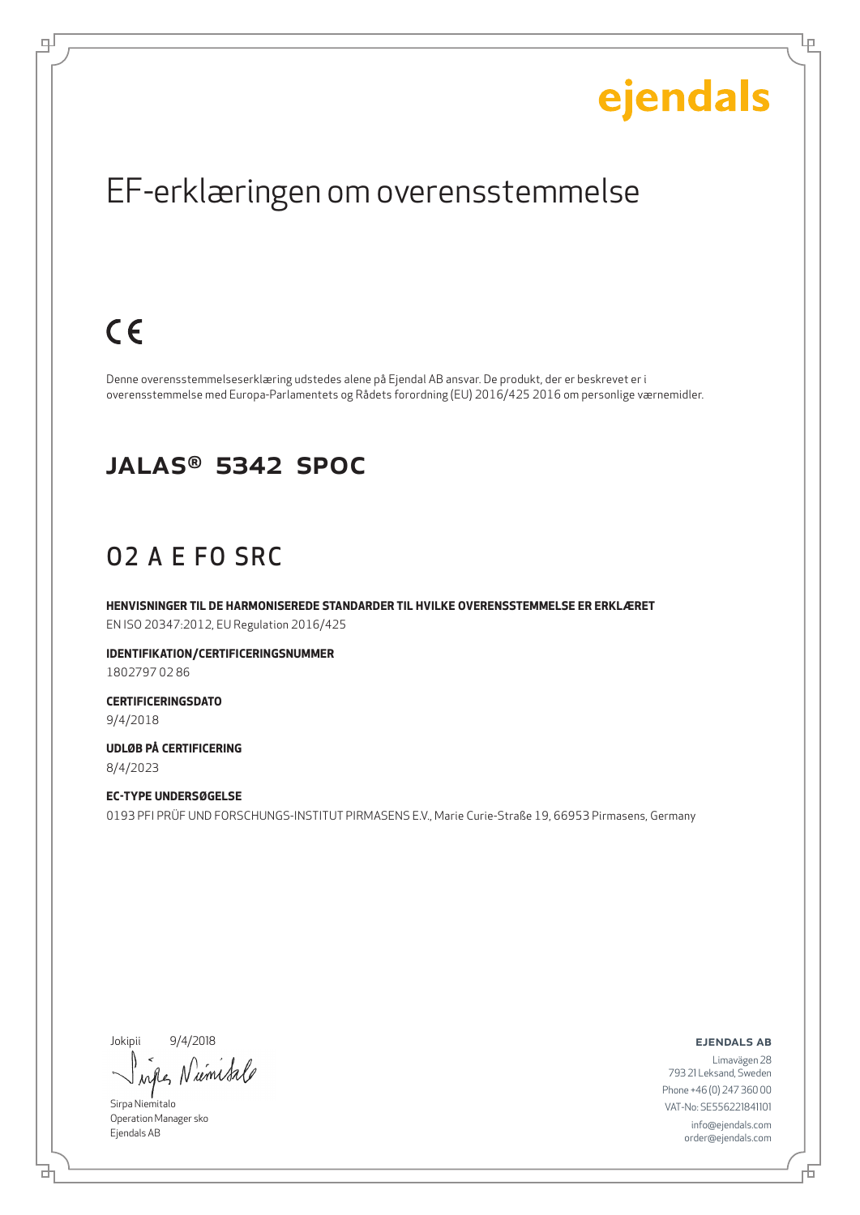Ļμ

## EF-erklæringen om overensstemmelse

## $C \in$

டி

Denne overensstemmelseserklæring udstedes alene på Ejendal AB ansvar. De produkt, der er beskrevet er i overensstemmelse med Europa-Parlamentets og Rådets forordning (EU) 2016/425 2016 om personlige værnemidler.

#### JALAS® 5342 SpOc

### O2 A E FO SRC

**HENVISNINGER TIL DE HARMONISEREDE STANDARDER TIL HVILKE OVERENSSTEMMELSE ER ERKLÆRET** EN ISO 20347:2012, EU Regulation 2016/425

**IDENTIFIKATION/CERTIFICERINGSNUMMER** 1802797 02 86

**CERTIFICERINGSDATO** 9/4/2018

**UDLØB PÅ CERTIFICERING** 8/4/2023

**EC-TYPE UNDERSØGELSE** 0193 PFI PRÜF UND FORSCHUNGS-INSTITUT PIRMASENS E.V., Marie Curie-Straße 19, 66953 Pirmasens, Germany

Jokipii 9/4/2018

Niemisa wh

Sirpa Niemitalo Operation Manager sko Ejendals AB

₫

ejendals ab

舌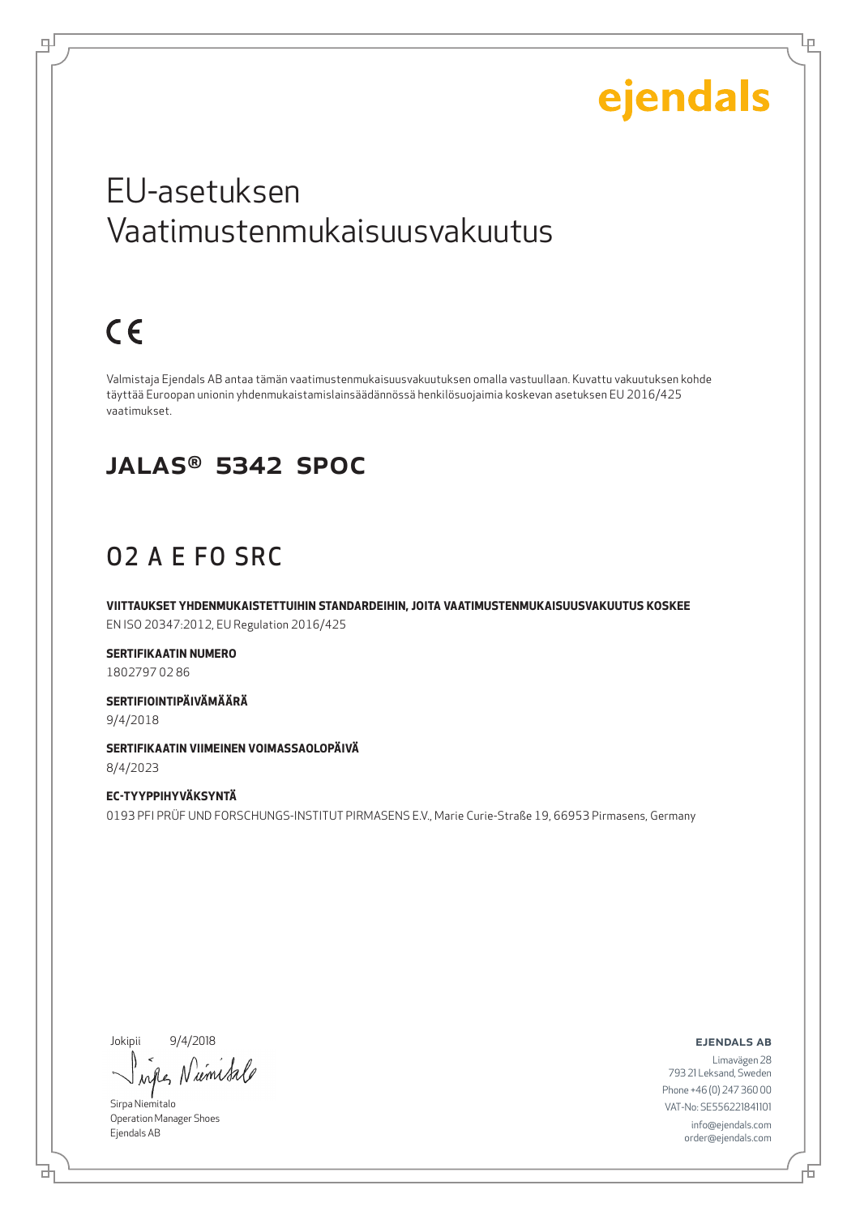Lр

## EU-asetuksen Vaatimustenmukaisuusvakuutus

# $C \in$

டி

Valmistaja Ejendals AB antaa tämän vaatimustenmukaisuusvakuutuksen omalla vastuullaan. Kuvattu vakuutuksen kohde täyttää Euroopan unionin yhdenmukaistamislainsäädännössä henkilösuojaimia koskevan asetuksen EU 2016/425 vaatimukset.

#### JALAS® 5342 SpOc

## O2 A E FO SRC

**VIITTAUKSET YHDENMUKAISTETTUIHIN STANDARDEIHIN, JOITA VAATIMUSTENMUKAISUUSVAKUUTUS KOSKEE** EN ISO 20347:2012, EU Regulation 2016/425

**SERTIFIKAATIN NUMERO** 1802797 02 86

**SERTIFIOINTIPÄIVÄMÄÄRÄ** 9/4/2018

**SERTIFIKAATIN VIIMEINEN VOIMASSAOLOPÄIVÄ** 8/4/2023

**EC-TYYPPIHYVÄKSYNTÄ** 0193 PFI PRÜF UND FORSCHUNGS-INSTITUT PIRMASENS E.V., Marie Curie-Straße 19, 66953 Pirmasens, Germany

Jokipii 9/4/2018

*um Sa* when

Sirpa Niemitalo Operation Manager Shoes Ejendals AB

ejendals ab

Limavägen 28 793 21 Leksand, Sweden Phone +46 (0) 247 360 00 VAT-No: SE556221841101 info@ejendals.com order@ejendals.com

б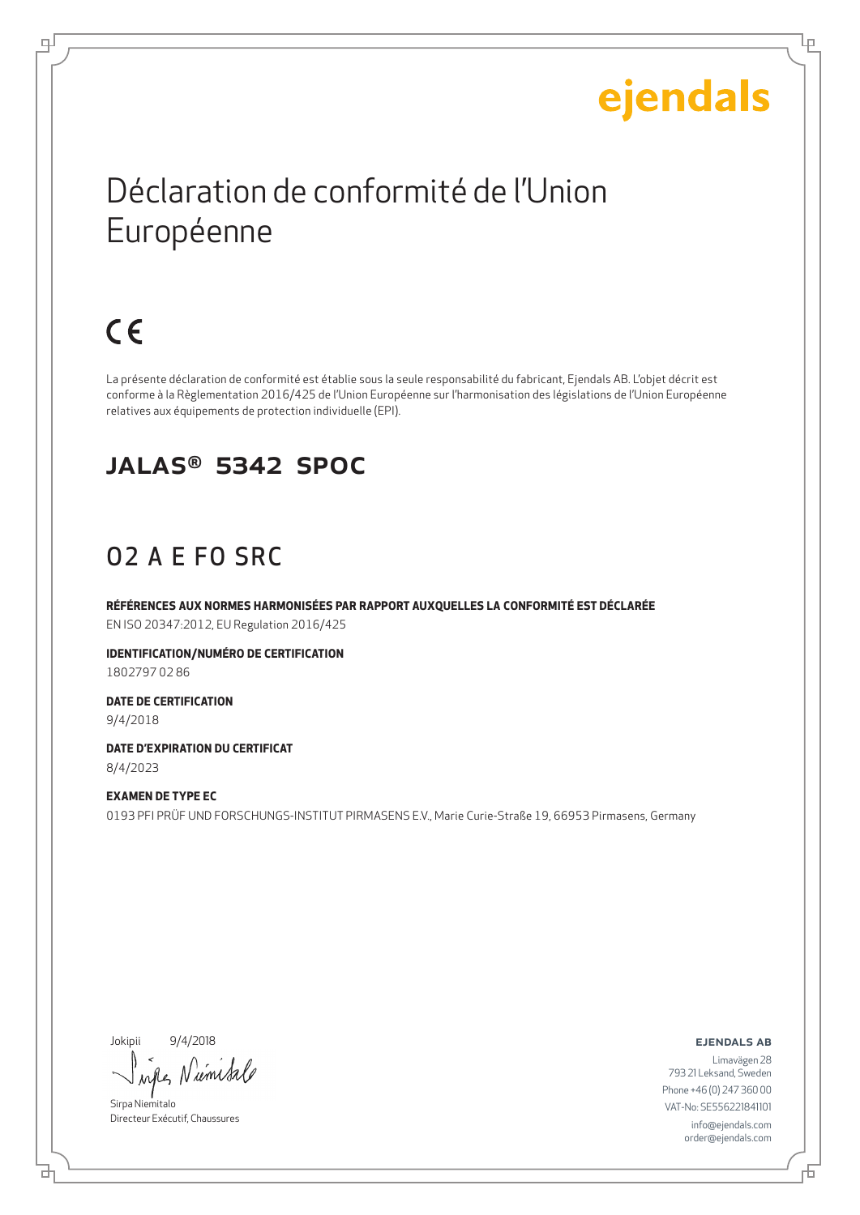Lр

# Déclaration de conformité de l'Union Européenne

# $C \in$

டி

La présente déclaration de conformité est établie sous la seule responsabilité du fabricant, Ejendals AB. L'objet décrit est conforme à la Règlementation 2016/425 de l'Union Européenne sur l'harmonisation des législations de l'Union Européenne relatives aux équipements de protection individuelle (EPI).

#### JALAS® 5342 SpOc

## O2 A E FO SRC

**RÉFÉRENCES AUX NORMES HARMONISÉES PAR RAPPORT AUXQUELLES LA CONFORMITÉ EST DÉCLARÉE** EN ISO 20347:2012, EU Regulation 2016/425

**IDENTIFICATION/NUMÉRO DE CERTIFICATION** 1802797 02 86

**DATE DE CERTIFICATION** 9/4/2018

**DATE D'EXPIRATION DU CERTIFICAT** 8/4/2023

**EXAMEN DE TYPE EC** 0193 PFI PRÜF UND FORSCHUNGS-INSTITUT PIRMASENS E.V., Marie Curie-Straße 19, 66953 Pirmasens, Germany

Jokipii 9/4/2018

б

rémis

Sirpa Niemitalo Directeur Exécutif, Chaussures

ejendals ab

舌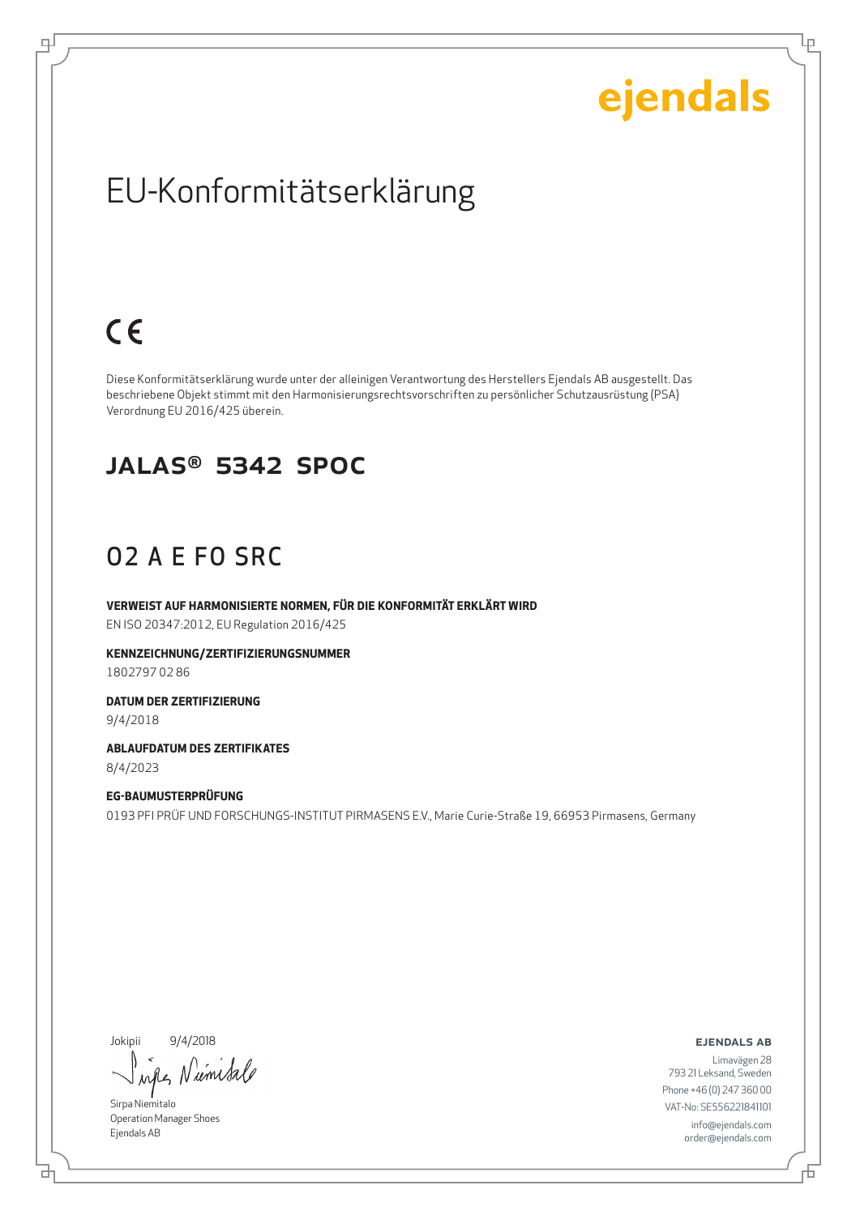Ļμ

## EU-Konformitätserklärung

# $C \in$

டி

Diese Konformitätserklärung wurde unter der alleinigen Verantwortung des Herstellers Ejendals AB ausgestellt. Das beschriebene Objekt stimmt mit den Harmonisierungsrechtsvorschriften zu persönlicher Schutzausrüstung (PSA) Verordnung EU 2016/425 überein.

#### JALAS® 5342 SpOc

### O2 A E FO SRC

**VERWEIST AUF HARMONISIERTE NORMEN, FÜR DIE KONFORMITÄT ERKLÄRT WIRD** EN ISO 20347:2012, EU Regulation 2016/425

**KENNZEICHNUNG/ZERTIFIZIERUNGSNUMMER** 1802797 02 86

**DATUM DER ZERTIFIZIERUNG** 9/4/2018

**ABLAUFDATUM DES ZERTIFIKATES** 8/4/2023

**EG-BAUMUSTERPRÜFUNG** 0193 PFI PRÜF UND FORSCHUNGS-INSTITUT PIRMASENS E.V., Marie Curie-Straße 19, 66953 Pirmasens, Germany

Jokipii 9/4/2018

Numisa when

Sirpa Niemitalo Operation Manager Shoes Ejendals AB

브

ejendals ab

舌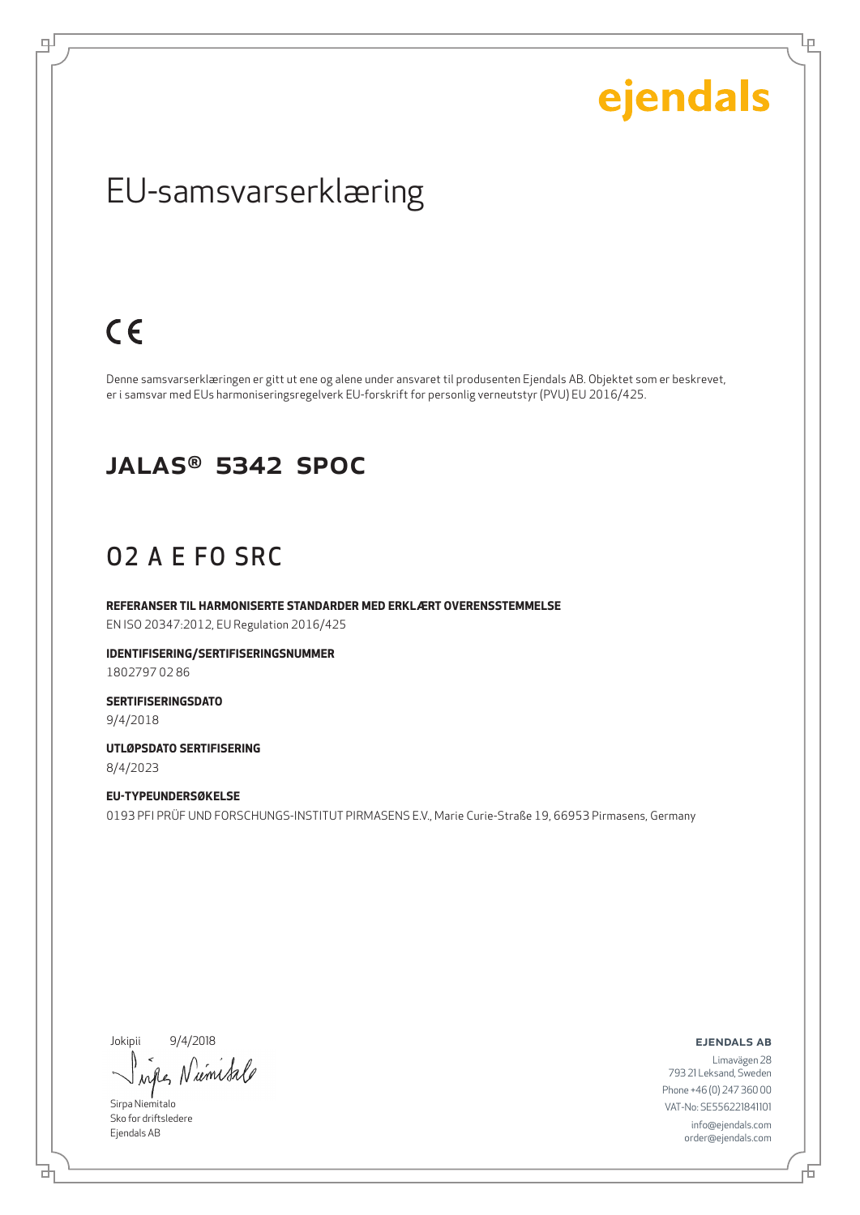Ļμ

## EU-samsvarserklæring

## $C \in$

டி

Denne samsvarserklæringen er gitt ut ene og alene under ansvaret til produsenten Ejendals AB. Objektet som er beskrevet, er i samsvar med EUs harmoniseringsregelverk EU-forskrift for personlig verneutstyr (PVU) EU 2016/425.

#### JALAS® 5342 SpOc

### O2 A E FO SRC

**REFERANSER TIL HARMONISERTE STANDARDER MED ERKLÆRT OVERENSSTEMMELSE** EN ISO 20347:2012, EU Regulation 2016/425

**IDENTIFISERING/SERTIFISERINGSNUMMER** 1802797 02 86

**SERTIFISERINGSDATO** 9/4/2018

**UTLØPSDATO SERTIFISERING** 8/4/2023

**EU-TYPEUNDERSØKELSE** 0193 PFI PRÜF UND FORSCHUNGS-INSTITUT PIRMASENS E.V., Marie Curie-Straße 19, 66953 Pirmasens, Germany

Jokipii 9/4/2018

wife Niemisa

Sirpa Niemitalo Sko for driftsledere Ejendals AB

브

ejendals ab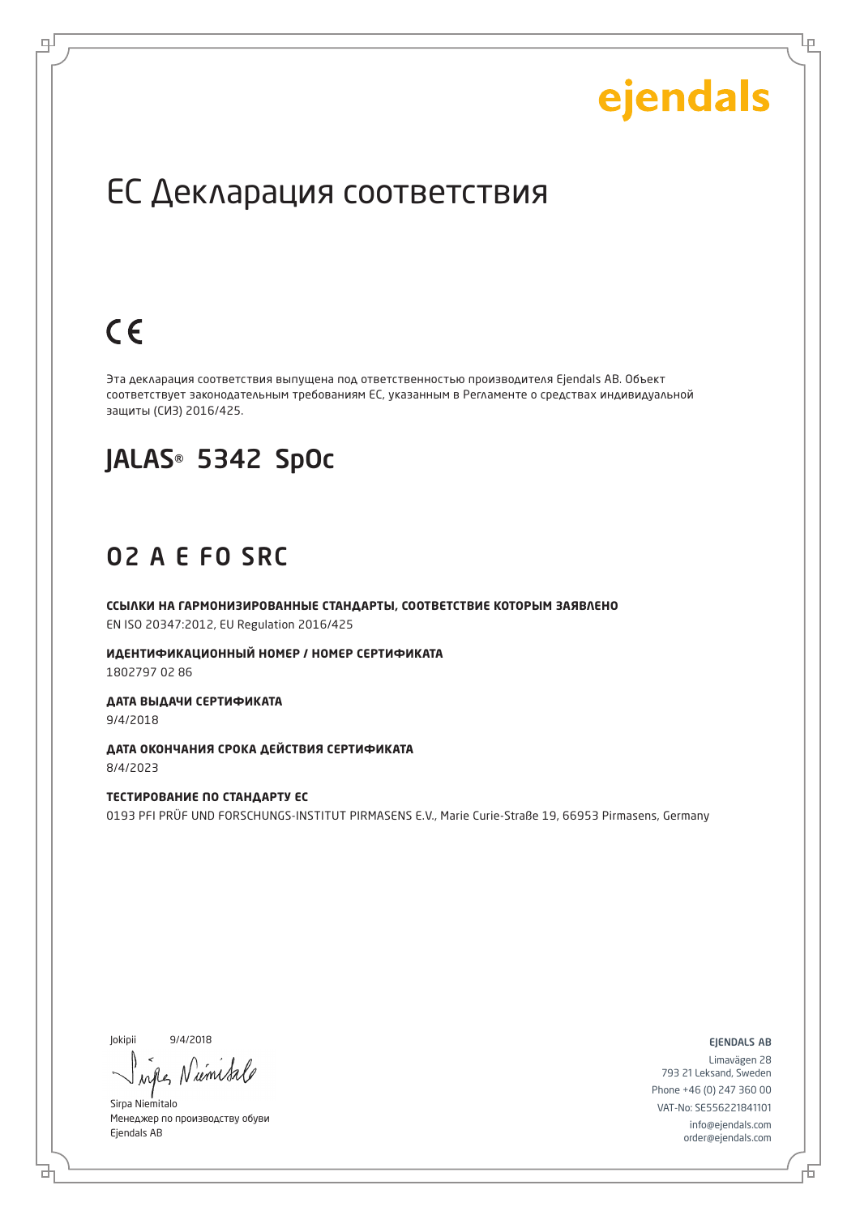Lр

## ЕС Декларация соответствия

## $C \in$

로

Эта декларация соответствия выпущена под ответственностью производителя Ejendals AB. Объект соответствует законодательным требованиям ЕС, указанным в Регламенте о средствах индивидуальной защиты (СИЗ) 2016/425.

## JALAS® 5342 SpOc

#### O2 A E FO SRC

**ССЫЛКИ НА ГАРМОНИЗИРОВАННЫЕ СТАНДАРТЫ, СООТВЕТСТВИЕ КОТОРЫМ ЗАЯВЛЕНО** EN ISO 20347:2012, EU Regulation 2016/425

**ИДЕНТИФИКАЦИОННЫЙ НОМЕР / НОМЕР СЕРТИФИКАТА** 1802797 02 86

**ДАТА ВЫДАЧИ СЕРТИФИКАТА** 9/4/2018

**ДАТА ОКОНЧАНИЯ СРОКА ДЕЙСТВИЯ СЕРТИФИКАТА** 8/4/2023

**ТЕСТИРОВАНИЕ ПО СТАНДАРТУ ЕС**  0193 PFI PRÜF UND FORSCHUNGS-INSTITUT PIRMASENS E.V., Marie Curie-Straße 19, 66953 Pirmasens, Germany

Jokipii 9/4/2018

б

N'umi

Sirpa Niemitalo Менеджер по производству обуви Ejendals AB

ejendals ab

Đ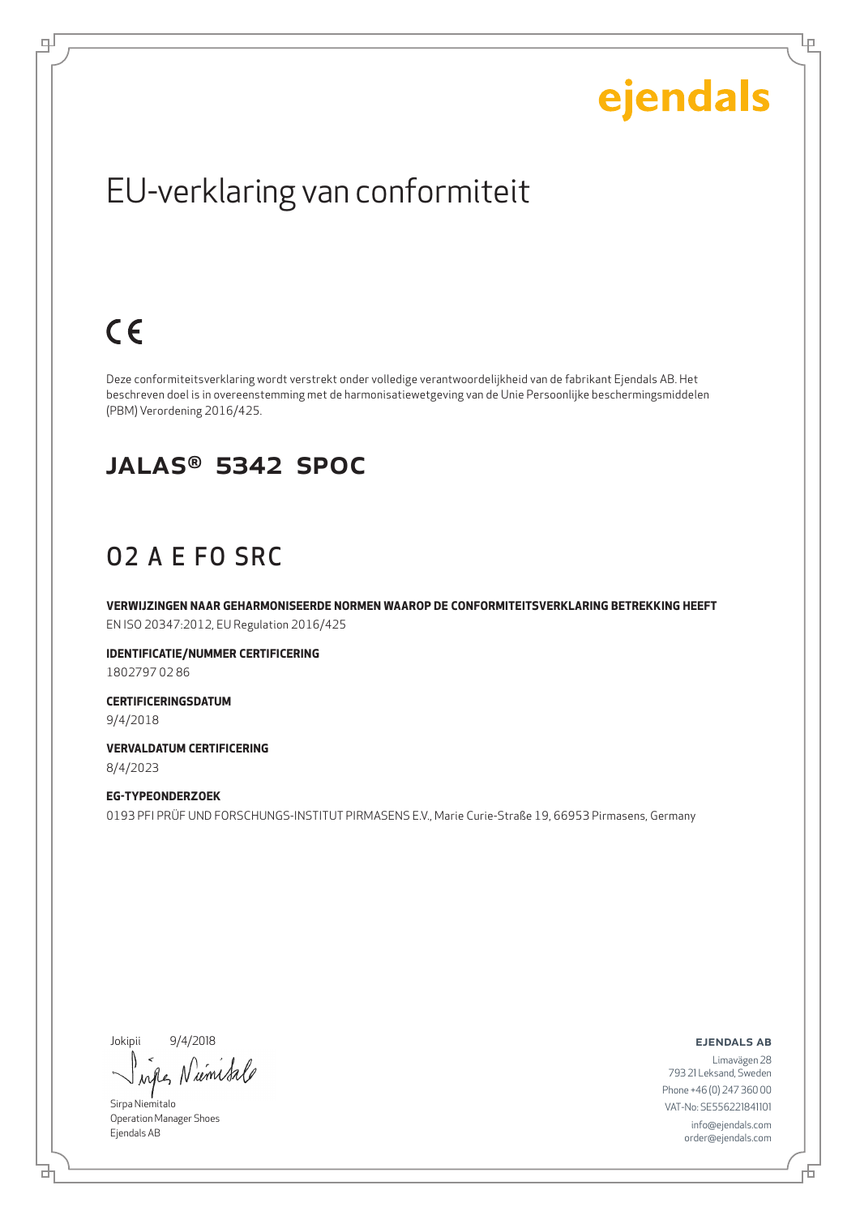Ļμ

## EU-verklaring van conformiteit

# $C \in$

டி

Deze conformiteitsverklaring wordt verstrekt onder volledige verantwoordelijkheid van de fabrikant Ejendals AB. Het beschreven doel is in overeenstemming met de harmonisatiewetgeving van de Unie Persoonlijke beschermingsmiddelen (PBM) Verordening 2016/425.

#### JALAS® 5342 SpOc

### O2 A E FO SRC

**VERWIJZINGEN NAAR GEHARMONISEERDE NORMEN WAAROP DE CONFORMITEITSVERKLARING BETREKKING HEEFT** EN ISO 20347:2012, EU Regulation 2016/425

**IDENTIFICATIE/NUMMER CERTIFICERING** 1802797 02 86

**CERTIFICERINGSDATUM** 9/4/2018

**VERVALDATUM CERTIFICERING** 8/4/2023

**EG-TYPEONDERZOEK** 0193 PFI PRÜF UND FORSCHUNGS-INSTITUT PIRMASENS E.V., Marie Curie-Straße 19, 66953 Pirmasens, Germany

Jokipii 9/4/2018

*um Sa* when

Sirpa Niemitalo Operation Manager Shoes Ejendals AB

브

ejendals ab

舌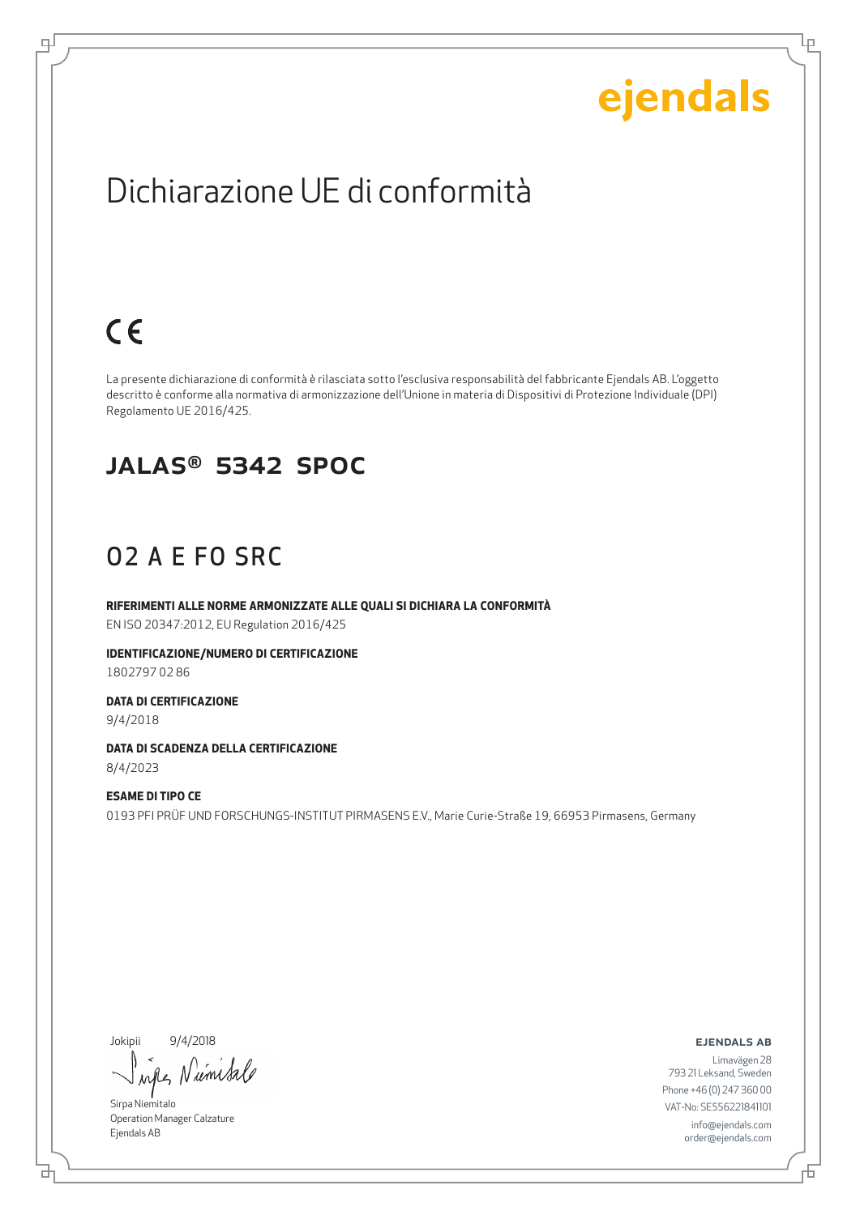Lρ

## Dichiarazione UE di conformità

# $C \in$

டி

La presente dichiarazione di conformità è rilasciata sotto l'esclusiva responsabilità del fabbricante Ejendals AB. L'oggetto descritto è conforme alla normativa di armonizzazione dell'Unione in materia di Dispositivi di Protezione Individuale (DPI) Regolamento UE 2016/425.

#### JALAS® 5342 SpOc

### O2 A E FO SRC

**RIFERIMENTI ALLE NORME ARMONIZZATE ALLE QUALI SI DICHIARA LA CONFORMITÀ** EN ISO 20347:2012, EU Regulation 2016/425

**IDENTIFICAZIONE/NUMERO DI CERTIFICAZIONE** 1802797 02 86

**DATA DI CERTIFICAZIONE** 9/4/2018

**DATA DI SCADENZA DELLA CERTIFICAZIONE** 8/4/2023

**ESAME DI TIPO CE** 0193 PFI PRÜF UND FORSCHUNGS-INSTITUT PIRMASENS E.V., Marie Curie-Straße 19, 66953 Pirmasens, Germany

Jokipii 9/4/2018

*um Sa*  $\lambda$ all

Sirpa Niemitalo Operation Manager Calzature Ejendals AB

브

#### ejendals ab

Limavägen 28 793 21 Leksand, Sweden Phone +46 (0) 247 360 00 VAT-No: SE556221841101 info@ejendals.com order@ejendals.com

舌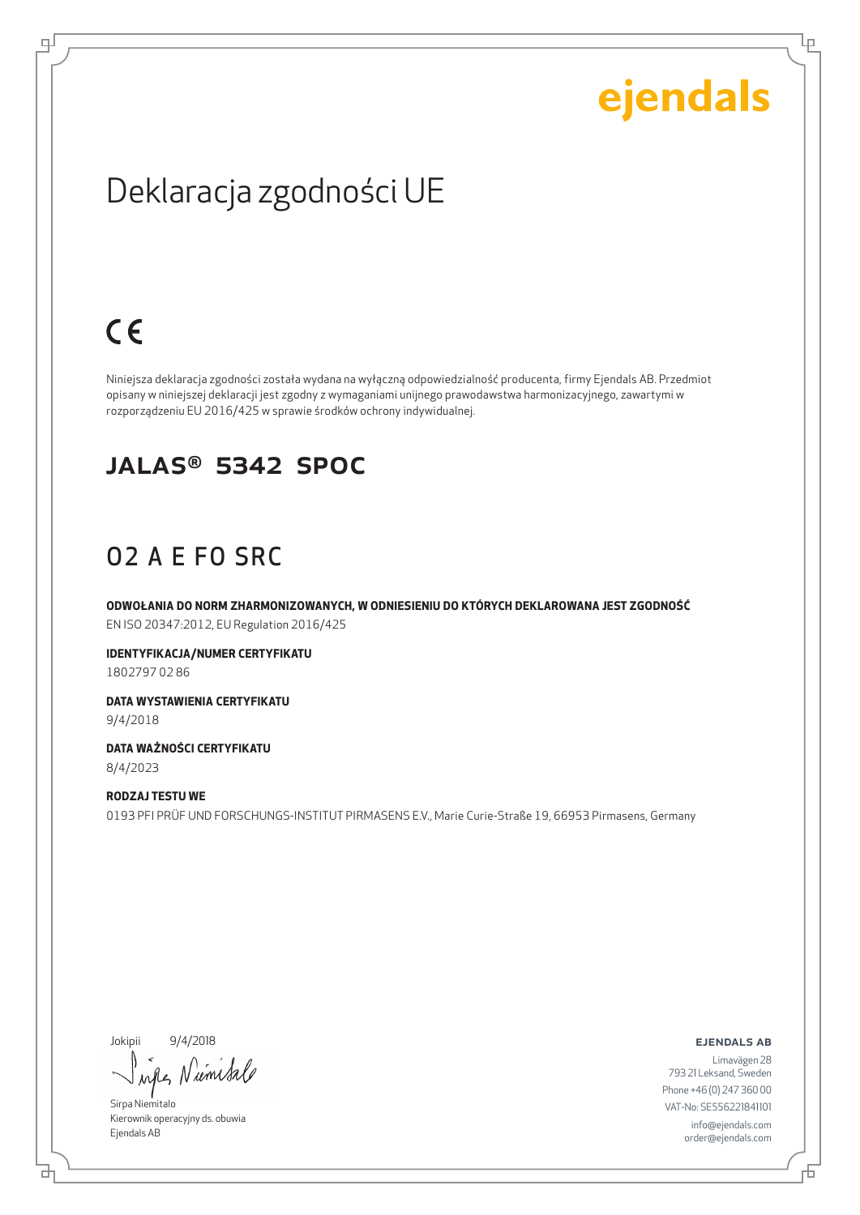Ļμ

## Deklaracja zgodności UE

# $C \in$

ᆗ

Niniejsza deklaracja zgodności została wydana na wyłączną odpowiedzialność producenta, firmy Ejendals AB. Przedmiot opisany w niniejszej deklaracji jest zgodny z wymaganiami unijnego prawodawstwa harmonizacyjnego, zawartymi w rozporządzeniu EU 2016/425 w sprawie środków ochrony indywidualnej.

#### JALAS® 5342 SpOc

## O2 A E FO SRC

**ODWOŁANIA DO NORM ZHARMONIZOWANYCH, W ODNIESIENIU DO KTÓRYCH DEKLAROWANA JEST ZGODNOŚĆ** EN ISO 20347:2012, EU Regulation 2016/425

**IDENTYFIKACJA/NUMER CERTYFIKATU** 1802797 02 86

**DATA WYSTAWIENIA CERTYFIKATU** 9/4/2018

**DATA WAŻNOŚCI CERTYFIKATU** 8/4/2023

**RODZAJ TESTU WE** 0193 PFI PRÜF UND FORSCHUNGS-INSTITUT PIRMASENS E.V., Marie Curie-Straße 19, 66953 Pirmasens, Germany

Jokipii 9/4/2018

₫

when N umisa

Sirpa Niemitalo Kierownik operacyjny ds. obuwia Ejendals AB

ejendals ab

Limavägen 28 793 21 Leksand, Sweden Phone +46 (0) 247 360 00 VAT-No: SE556221841101 info@ejendals.com order@ejendals.com

舌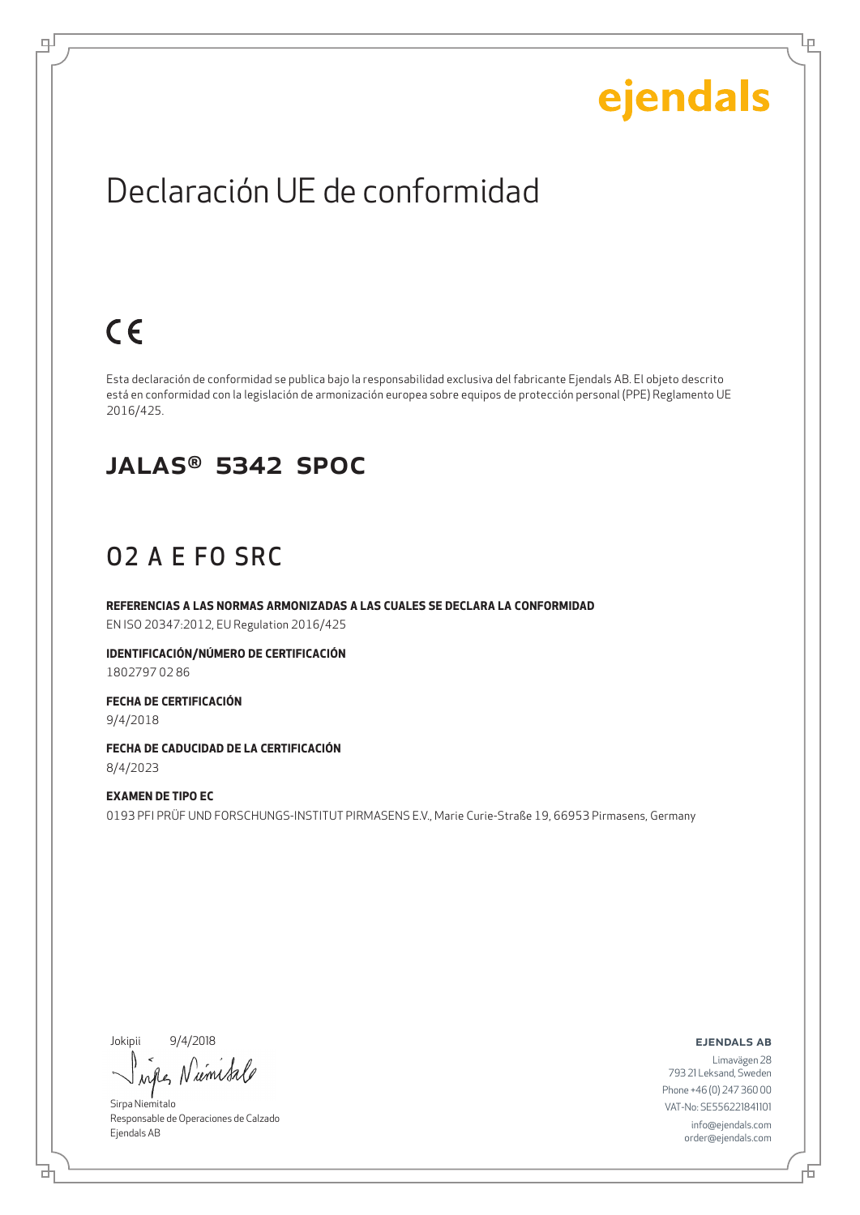Ļμ

## Declaración UE de conformidad

## $C \in$

ψ

Esta declaración de conformidad se publica bajo la responsabilidad exclusiva del fabricante Ejendals AB. El objeto descrito está en conformidad con la legislación de armonización europea sobre equipos de protección personal (PPE) Reglamento UE 2016/425.

#### JALAS® 5342 SpOc

## O2 A E FO SRC

**REFERENCIAS A LAS NORMAS ARMONIZADAS A LAS CUALES SE DECLARA LA CONFORMIDAD** EN ISO 20347:2012, EU Regulation 2016/425

**IDENTIFICACIÓN/NÚMERO DE CERTIFICACIÓN** 1802797 02 86

**FECHA DE CERTIFICACIÓN** 9/4/2018

**FECHA DE CADUCIDAD DE LA CERTIFICACIÓN** 8/4/2023

**EXAMEN DE TIPO EC** 0193 PFI PRÜF UND FORSCHUNGS-INSTITUT PIRMASENS E.V., Marie Curie-Straße 19, 66953 Pirmasens, Germany

Jokipii 9/4/2018

when Numbale

Sirpa Niemitalo Responsable de Operaciones de Calzado Ejendals AB

ejendals ab

브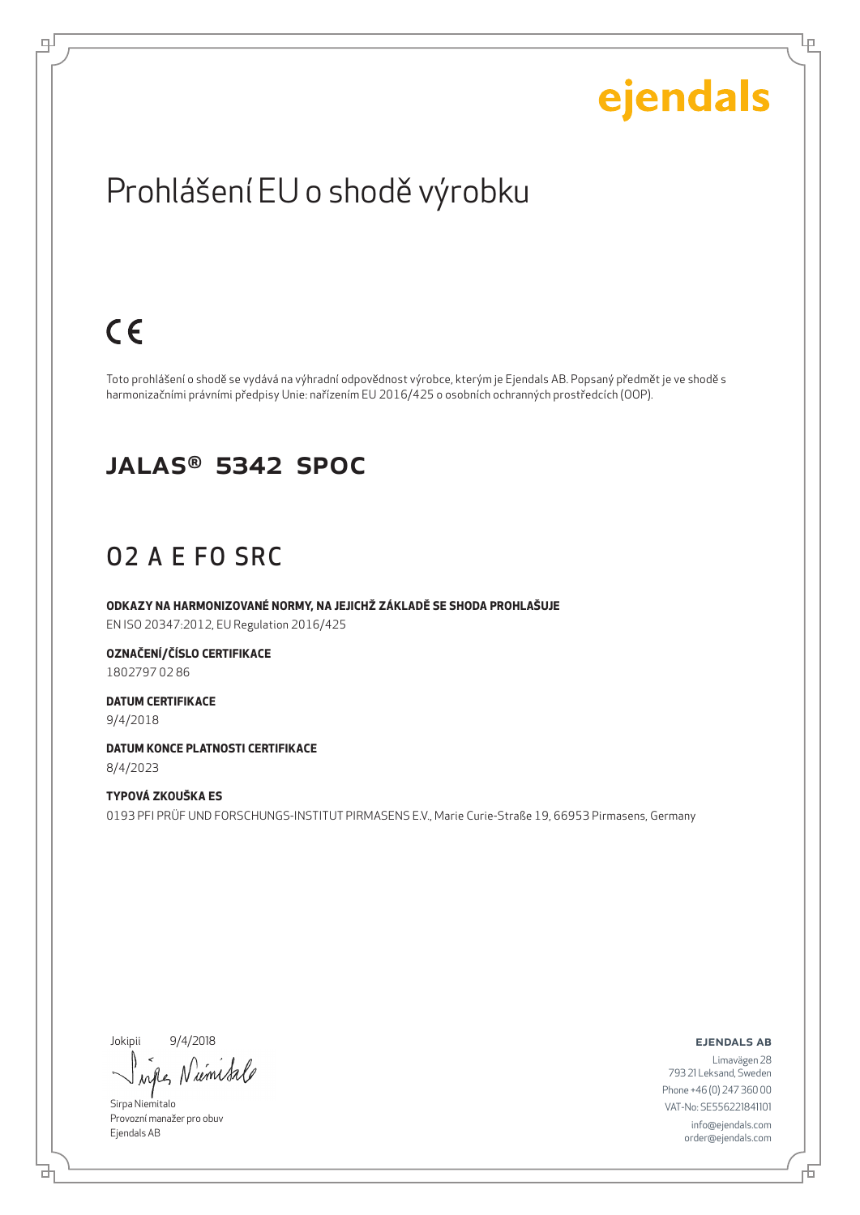Ļμ

## Prohlášení EU o shodě výrobku

## $C \in$

டி

Toto prohlášení o shodě se vydává na výhradní odpovědnost výrobce, kterým je Ejendals AB. Popsaný předmět je ve shodě s harmonizačními právními předpisy Unie: nařízením EU 2016/425 o osobních ochranných prostředcích (OOP).

#### JALAS® 5342 SpOc

### O2 A E FO SRC

**ODKAZY NA HARMONIZOVANÉ NORMY, NA JEJICHŽ ZÁKLADĚ SE SHODA PROHLAŠUJE** EN ISO 20347:2012, EU Regulation 2016/425

**OZNAČENÍ/ČÍSLO CERTIFIKACE** 1802797 02 86

**DATUM CERTIFIKACE** 9/4/2018

**DATUM KONCE PLATNOSTI CERTIFIKACE** 8/4/2023

**TYPOVÁ ZKOUŠKA ES** 0193 PFI PRÜF UND FORSCHUNGS-INSTITUT PIRMASENS E.V., Marie Curie-Straße 19, 66953 Pirmasens, Germany

Jokipii 9/4/2018

*um Sa* rall

Sirpa Niemitalo Provozní manažer pro obuv Ejendals AB

ejendals ab

舌

브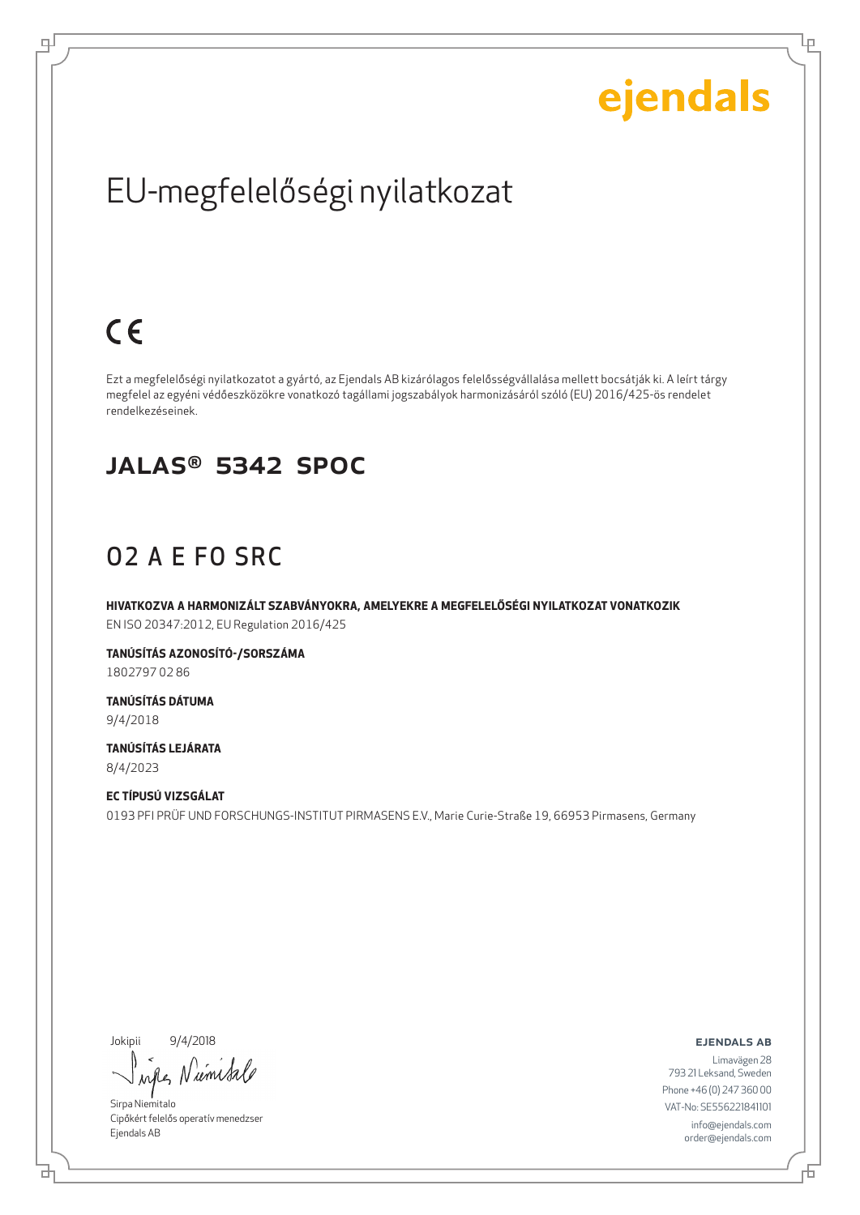Ļμ

# EU-megfelelőségi nyilatkozat

# $C \in$

ᆗ

Ezt a megfelelőségi nyilatkozatot a gyártó, az Ejendals AB kizárólagos felelősségvállalása mellett bocsátják ki. A leírt tárgy megfelel az egyéni védőeszközökre vonatkozó tagállami jogszabályok harmonizásáról szóló (EU) 2016/425-ös rendelet rendelkezéseinek.

#### JALAS® 5342 SpOc

### O2 A E FO SRC

**HIVATKOZVA A HARMONIZÁLT SZABVÁNYOKRA, AMELYEKRE A MEGFELELŐSÉGI NYILATKOZAT VONATKOZIK** EN ISO 20347:2012, EU Regulation 2016/425

**TANÚSÍTÁS AZONOSÍTÓ-/SORSZÁMA** 1802797 02 86

**TANÚSÍTÁS DÁTUMA** 9/4/2018

**TANÚSÍTÁS LEJÁRATA** 8/4/2023

**EC TÍPUSÚ VIZSGÁLAT** 0193 PFI PRÜF UND FORSCHUNGS-INSTITUT PIRMASENS E.V., Marie Curie-Straße 19, 66953 Pirmasens, Germany

Jokipii 9/4/2018

₫

Niemisa when

Sirpa Niemitalo Cipőkért felelős operatív menedzser Ejendals AB

ejendals ab

舌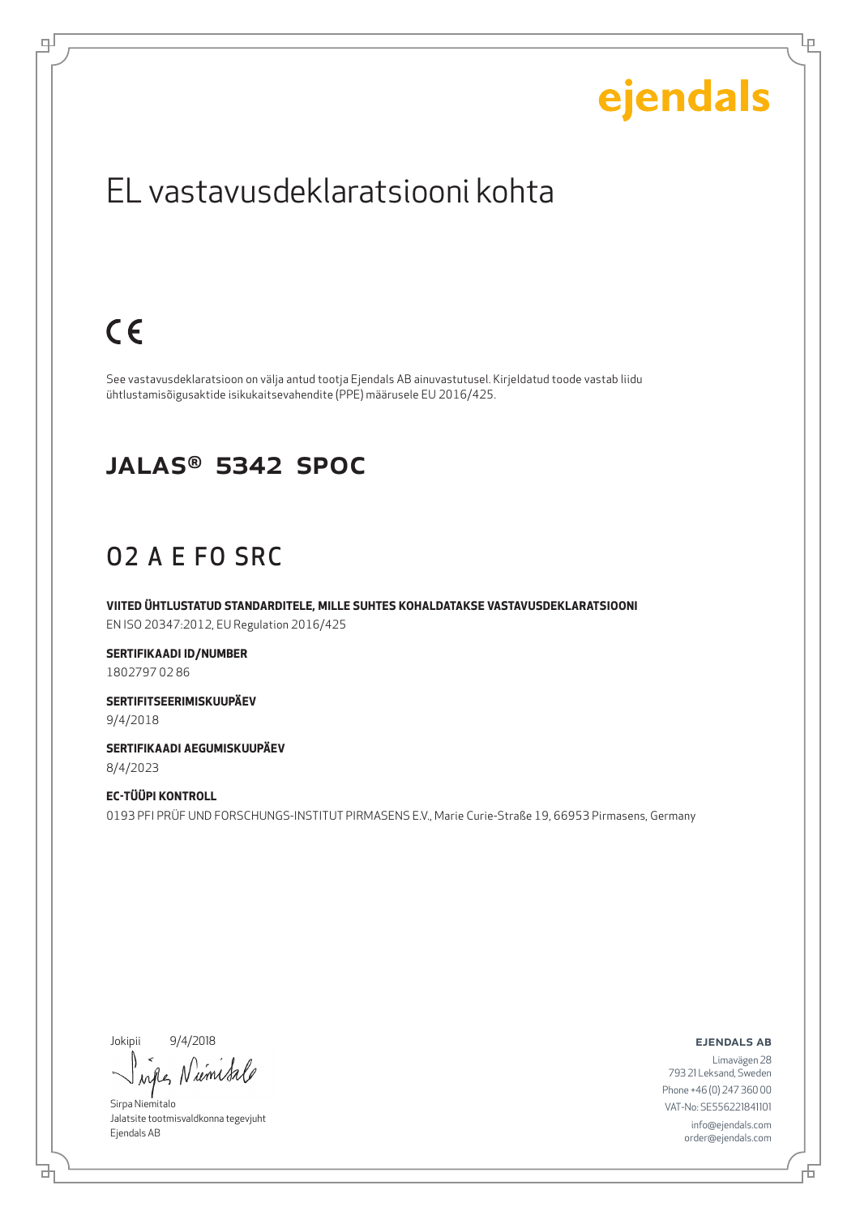Ļμ

## EL vastavusdeklaratsiooni kohta

# $C \in$

டி

See vastavusdeklaratsioon on välja antud tootja Ejendals AB ainuvastutusel. Kirjeldatud toode vastab liidu ühtlustamisõigusaktide isikukaitsevahendite (PPE) määrusele EU 2016/425.

#### JALAS® 5342 SpOc

## O2 A E FO SRC

**VIITED ÜHTLUSTATUD STANDARDITELE, MILLE SUHTES KOHALDATAKSE VASTAVUSDEKLARATSIOONI** EN ISO 20347:2012, EU Regulation 2016/425

**SERTIFIKAADI ID/NUMBER** 1802797 02 86

**SERTIFITSEERIMISKUUPÄEV** 9/4/2018

**SERTIFIKAADI AEGUMISKUUPÄEV** 8/4/2023

**EC-TÜÜPI KONTROLL** 0193 PFI PRÜF UND FORSCHUNGS-INSTITUT PIRMASENS E.V., Marie Curie-Straße 19, 66953 Pirmasens, Germany

Jokipii 9/4/2018

브

Niemisa when

Sirpa Niemitalo Jalatsite tootmisvaldkonna tegevjuht Ejendals AB

ejendals ab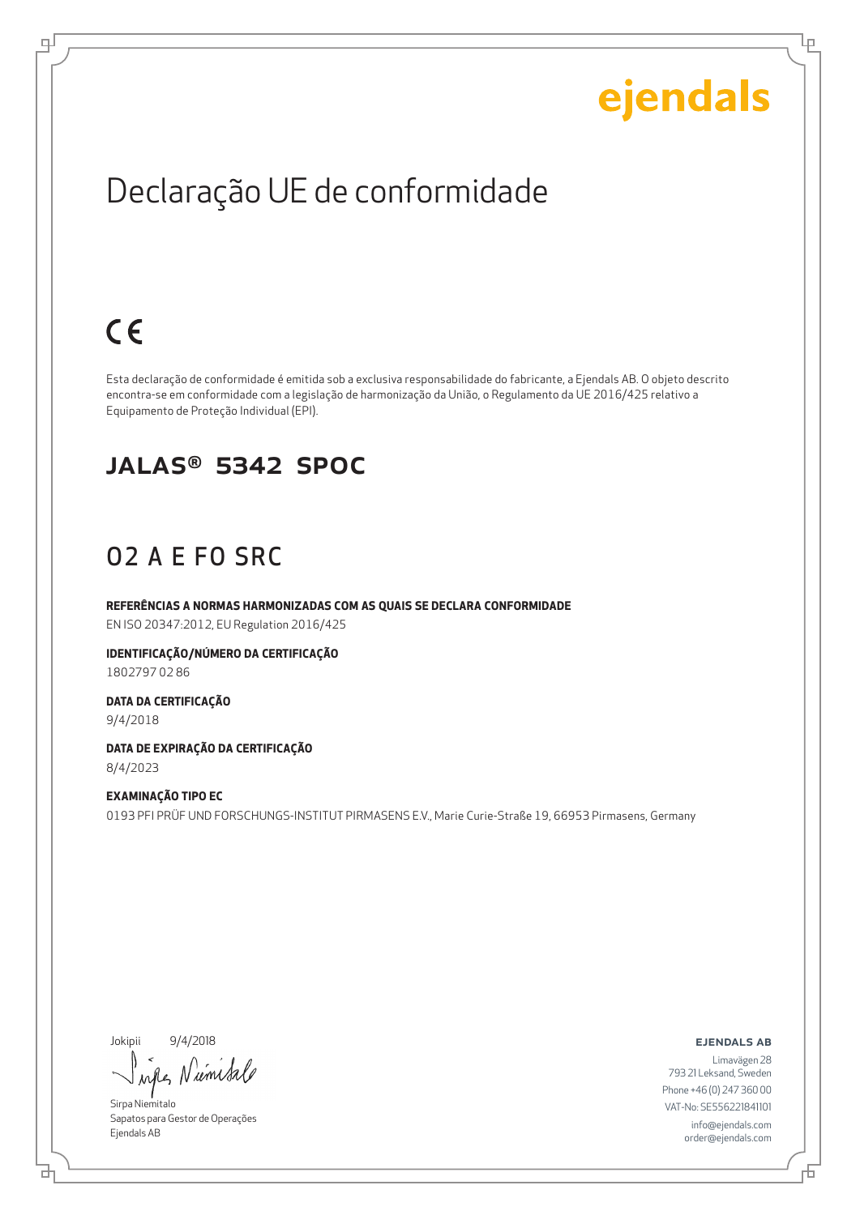Ļμ

## Declaração UE de conformidade

# $C \in$

ψ

Esta declaração de conformidade é emitida sob a exclusiva responsabilidade do fabricante, a Ejendals AB. O objeto descrito encontra-se em conformidade com a legislação de harmonização da União, o Regulamento da UE 2016/425 relativo a Equipamento de Proteção Individual (EPI).

#### JALAS® 5342 SpOc

### O2 A E FO SRC

**REFERÊNCIAS A NORMAS HARMONIZADAS COM AS QUAIS SE DECLARA CONFORMIDADE** EN ISO 20347:2012, EU Regulation 2016/425

**IDENTIFICAÇÃO/NÚMERO DA CERTIFICAÇÃO** 1802797 02 86

**DATA DA CERTIFICAÇÃO** 9/4/2018

**DATA DE EXPIRAÇÃO DA CERTIFICAÇÃO** 8/4/2023

**EXAMINAÇÃO TIPO EC** 0193 PFI PRÜF UND FORSCHUNGS-INSTITUT PIRMASENS E.V., Marie Curie-Straße 19, 66953 Pirmasens, Germany

Jokipii 9/4/2018

₫

umi  $\lambda$ n

Sirpa Niemitalo Sapatos para Gestor de Operações Ejendals AB

ejendals ab

Đ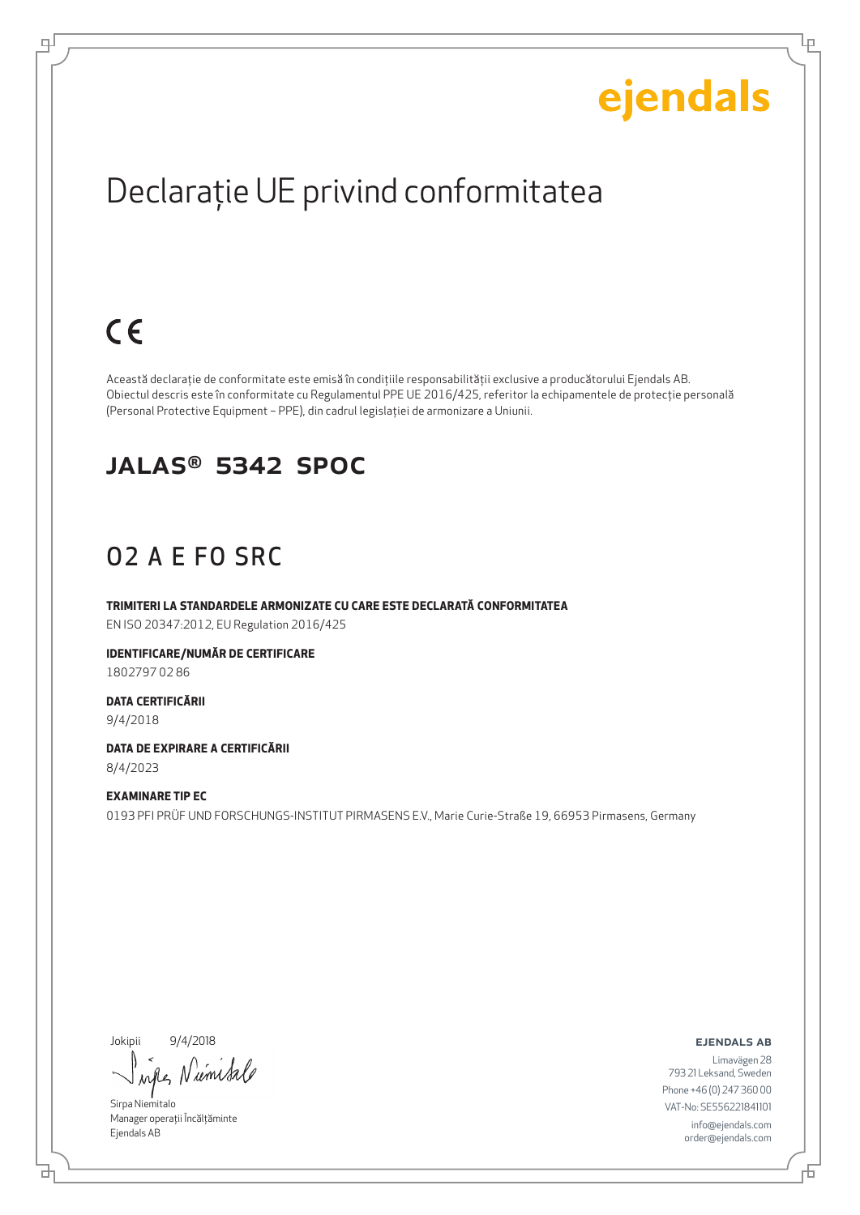Ļμ

# Declaraţie UE privind conformitatea

# $C \in$

ψ

Această declaraţie de conformitate este emisă în condiţiile responsabilităţii exclusive a producătorului Ejendals AB. Obiectul descris este în conformitate cu Regulamentul PPE UE 2016/425, referitor la echipamentele de protecţie personală (Personal Protective Equipment – PPE), din cadrul legislaţiei de armonizare a Uniunii.

#### JALAS® 5342 SpOc

## O2 A E FO SRC

**TRIMITERI LA STANDARDELE ARMONIZATE CU CARE ESTE DECLARATĂ CONFORMITATEA** EN ISO 20347:2012, EU Regulation 2016/425

**IDENTIFICARE/NUMĂR DE CERTIFICARE** 1802797 02 86

**DATA CERTIFICĂRII** 9/4/2018

**DATA DE EXPIRARE A CERTIFICĂRII** 8/4/2023

**EXAMINARE TIP EC** 0193 PFI PRÜF UND FORSCHUNGS-INSTITUT PIRMASENS E.V., Marie Curie-Straße 19, 66953 Pirmasens, Germany

Jokipii 9/4/2018

umisa when

Sirpa Niemitalo Manager operații Încălțăminte Ejendals AB

б

ejendals ab

舌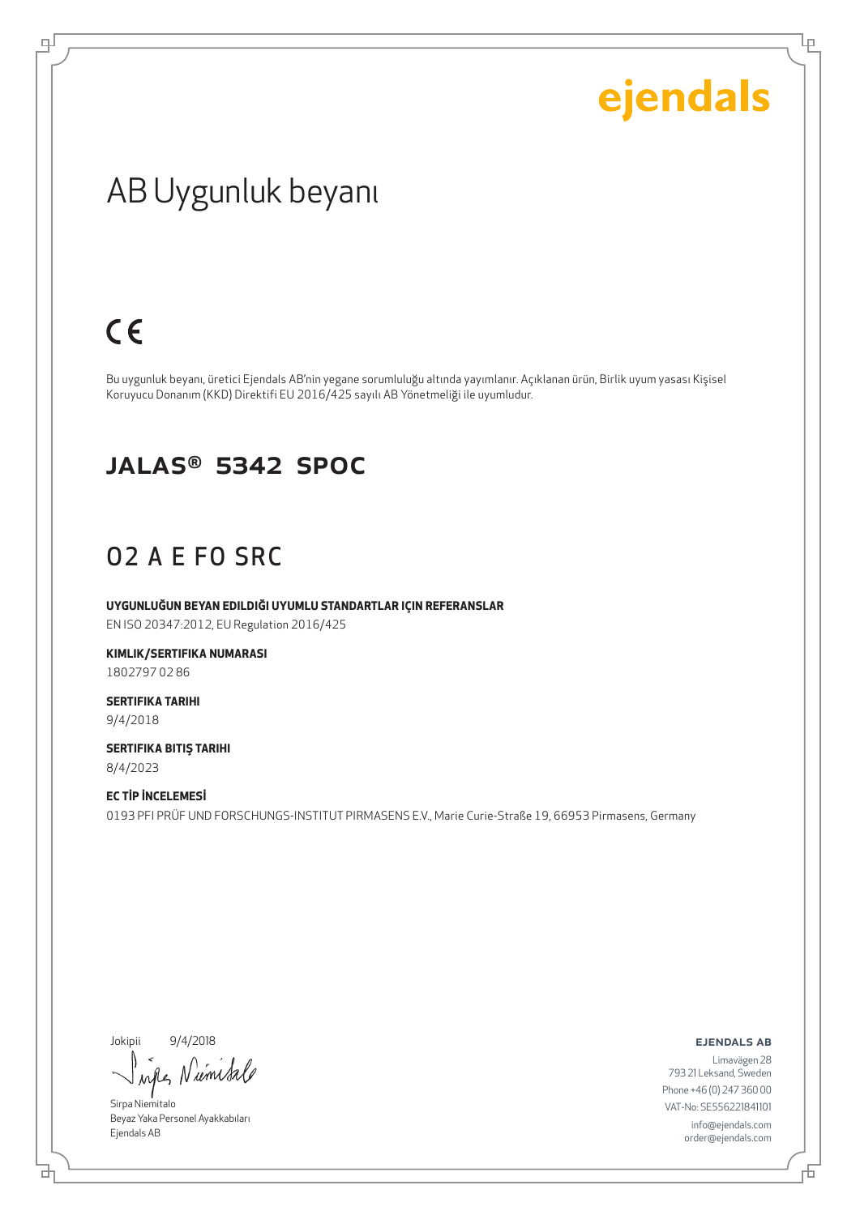Ļμ

## AB Uygunluk beyanı

## $C \in$

டி

Bu uygunluk beyanı, üretici Ejendals AB'nin yegane sorumluluğu altında yayımlanır. Açıklanan ürün, Birlik uyum yasası Kişisel Koruyucu Donanım (KKD) Direktifi EU 2016/425 sayılı AB Yönetmeliği ile uyumludur.

#### JALAS® 5342 SpOc

### O2 A E FO SRC

**UYGUNLUĞUN BEYAN EDILDIĞI UYUMLU STANDARTLAR IÇIN REFERANSLAR** EN ISO 20347:2012, EU Regulation 2016/425

**KIMLIK/SERTIFIKA NUMARASI** 1802797 02 86

**SERTIFIKA TARIHI** 9/4/2018

**SERTIFIKA BITIŞ TARIHI** 8/4/2023

**EC TİP İNCELEMESİ** 0193 PFI PRÜF UND FORSCHUNGS-INSTITUT PIRMASENS E.V., Marie Curie-Straße 19, 66953 Pirmasens, Germany

Jokipii 9/4/2018

when Niemetro

Sirpa Niemitalo Beyaz Yaka Personel Ayakkabıları Ejendals AB

ejendals ab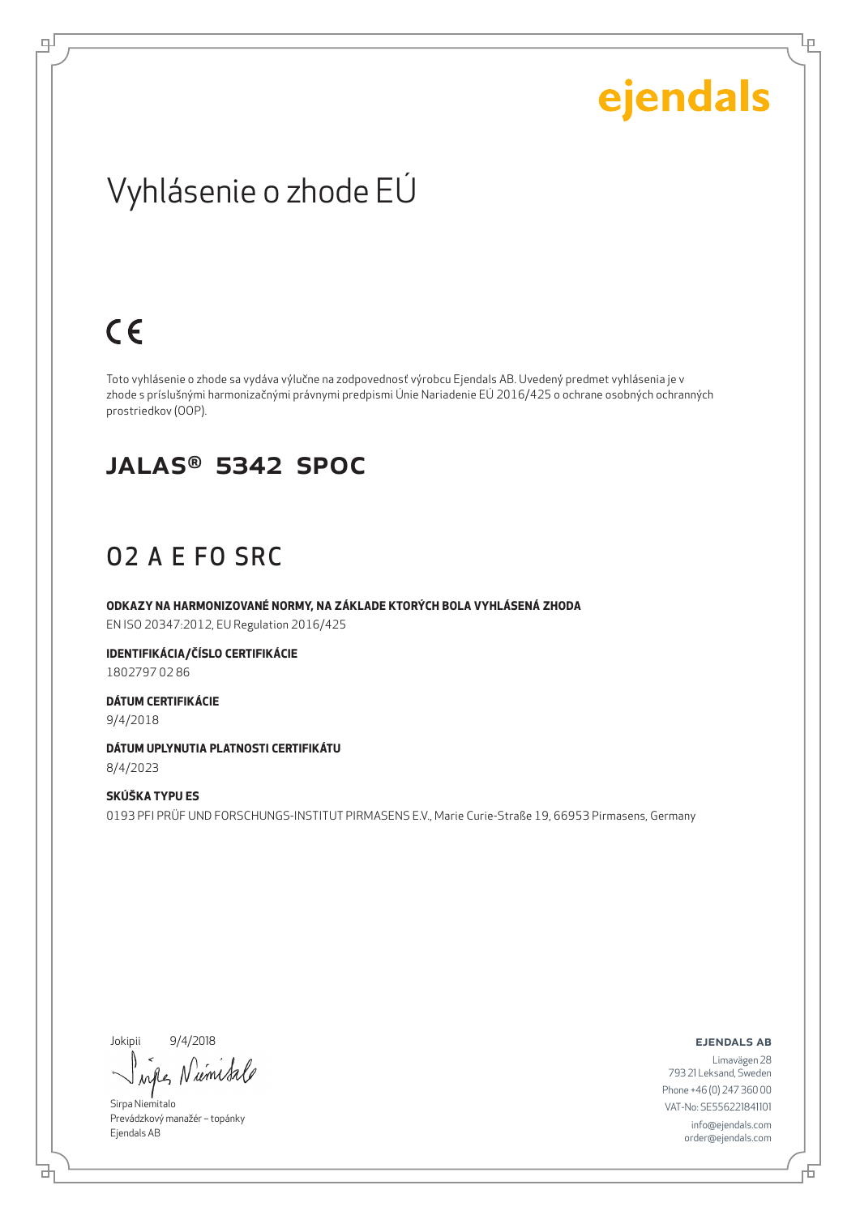Lρ

## Vyhlásenie o zhode EÚ

## $C \in$

ψ

Toto vyhlásenie o zhode sa vydáva výlučne na zodpovednosť výrobcu Ejendals AB. Uvedený predmet vyhlásenia je v zhode s príslušnými harmonizačnými právnymi predpismi Únie Nariadenie EÚ 2016/425 o ochrane osobných ochranných prostriedkov (OOP).

#### JALAS® 5342 SpOc

### O2 A E FO SRC

**ODKAZY NA HARMONIZOVANÉ NORMY, NA ZÁKLADE KTORÝCH BOLA VYHLÁSENÁ ZHODA** EN ISO 20347:2012, EU Regulation 2016/425

**IDENTIFIKÁCIA/ČÍSLO CERTIFIKÁCIE** 1802797 02 86

**DÁTUM CERTIFIKÁCIE** 9/4/2018

**DÁTUM UPLYNUTIA PLATNOSTI CERTIFIKÁTU** 8/4/2023

**SKÚŠKA TYPU ES** 0193 PFI PRÜF UND FORSCHUNGS-INSTITUT PIRMASENS E.V., Marie Curie-Straße 19, 66953 Pirmasens, Germany

Jokipii 9/4/2018

브

umsa when

Sirpa Niemitalo Prevádzkový manažér – topánky Ejendals AB

ejendals ab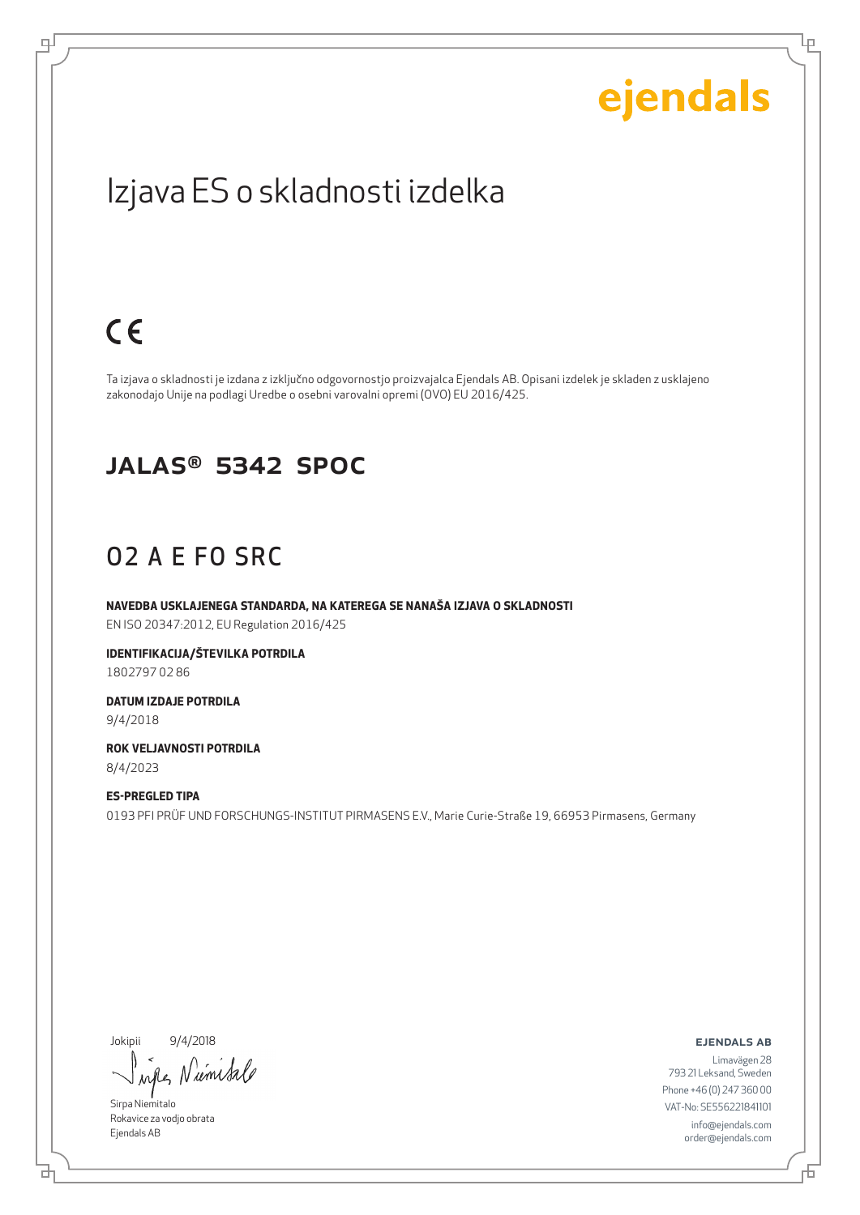Ļμ

## Izjava ES o skladnosti izdelka

## $C \in$

ψ

Ta izjava o skladnosti je izdana z izključno odgovornostjo proizvajalca Ejendals AB. Opisani izdelek je skladen z usklajeno zakonodajo Unije na podlagi Uredbe o osebni varovalni opremi (OVO) EU 2016/425.

#### JALAS® 5342 SpOc

### O2 A E FO SRC

**NAVEDBA USKLAJENEGA STANDARDA, NA KATEREGA SE NANAŠA IZJAVA O SKLADNOSTI** EN ISO 20347:2012, EU Regulation 2016/425

**IDENTIFIKACIJA/ŠTEVILKA POTRDILA** 1802797 02 86

**DATUM IZDAJE POTRDILA** 9/4/2018

**ROK VELJAVNOSTI POTRDILA** 8/4/2023

**ES-PREGLED TIPA** 0193 PFI PRÜF UND FORSCHUNGS-INSTITUT PIRMASENS E.V., Marie Curie-Straße 19, 66953 Pirmasens, Germany

Jokipii 9/4/2018

*um Sa* when

Sirpa Niemitalo Rokavice za vodjo obrata Ejendals AB

ejendals ab

브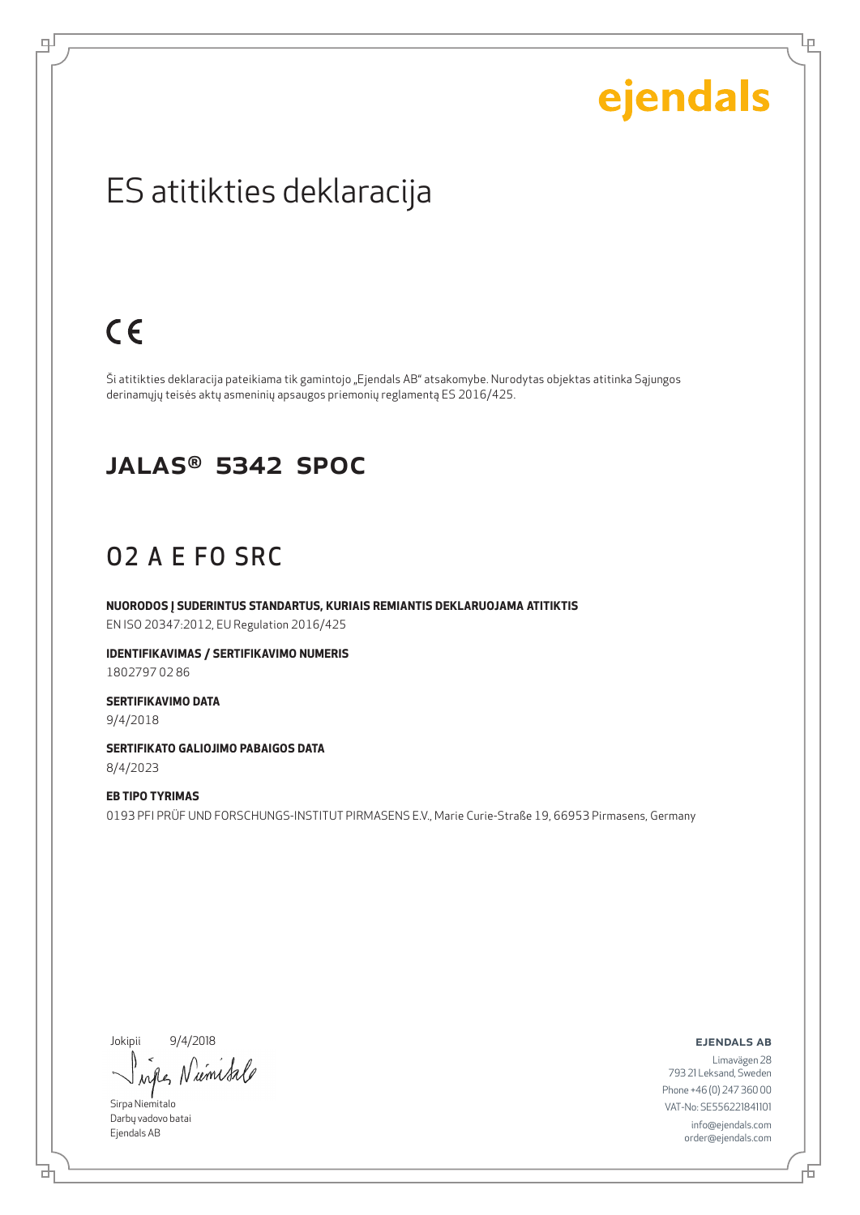Ļμ

## ES atitikties deklaracija

## $C \in$

டி

Ši atitikties deklaracija pateikiama tik gamintojo "Ejendals AB" atsakomybe. Nurodytas objektas atitinka Sąjungos derinamųjų teisės aktų asmeninių apsaugos priemonių reglamentą ES 2016/425.

#### JALAS® 5342 SpOc

### O2 A E FO SRC

**NUORODOS Į SUDERINTUS STANDARTUS, KURIAIS REMIANTIS DEKLARUOJAMA ATITIKTIS** EN ISO 20347:2012, EU Regulation 2016/425

**IDENTIFIKAVIMAS / SERTIFIKAVIMO NUMERIS** 1802797 02 86

**SERTIFIKAVIMO DATA** 9/4/2018

**SERTIFIKATO GALIOJIMO PABAIGOS DATA** 8/4/2023

**EB TIPO TYRIMAS** 0193 PFI PRÜF UND FORSCHUNGS-INSTITUT PIRMASENS E.V., Marie Curie-Straße 19, 66953 Pirmasens, Germany

Jokipii 9/4/2018

when Number

Sirpa Niemitalo Darbų vadovo batai Ejendals AB

브

ejendals ab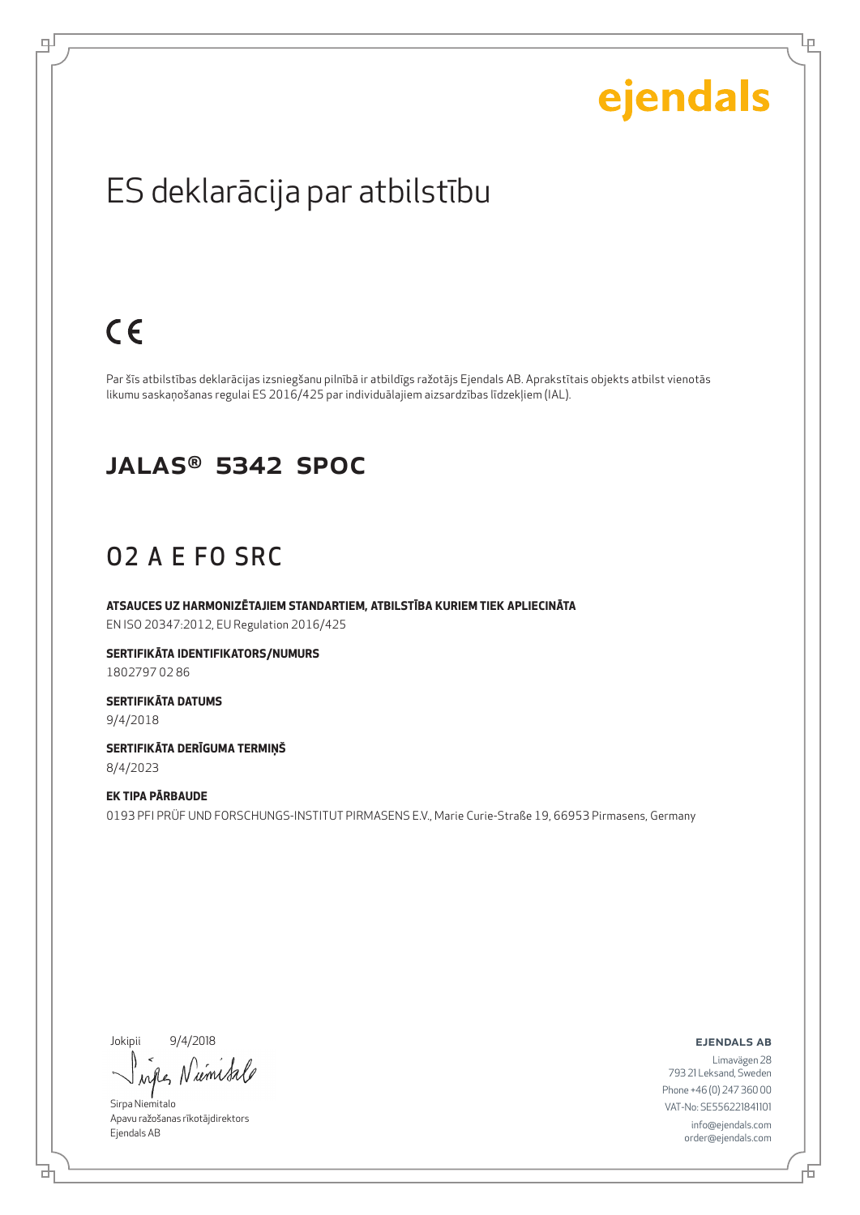Lρ

## ES deklarācija par atbilstību

## $C \in$

ψ

Par šīs atbilstības deklarācijas izsniegšanu pilnībā ir atbildīgs ražotājs Ejendals AB. Aprakstītais objekts atbilst vienotās likumu saskaņošanas regulai ES 2016/425 par individuālajiem aizsardzības līdzekļiem (IAL).

#### JALAS® 5342 SpOc

### O2 A E FO SRC

**ATSAUCES UZ HARMONIZĒTAJIEM STANDARTIEM, ATBILSTĪBA KURIEM TIEK APLIECINĀTA** EN ISO 20347:2012, EU Regulation 2016/425

**SERTIFIKĀTA IDENTIFIKATORS/NUMURS** 1802797 02 86

**SERTIFIKĀTA DATUMS** 9/4/2018

**SERTIFIKĀTA DERĪGUMA TERMIŅŠ** 8/4/2023

**EK TIPA PĀRBAUDE** 0193 PFI PRÜF UND FORSCHUNGS-INSTITUT PIRMASENS E.V., Marie Curie-Straße 19, 66953 Pirmasens, Germany

Jokipii 9/4/2018

when Niemisa

Sirpa Niemitalo Apavu ražošanas rīkotājdirektors Ejendals AB

ejendals ab

₫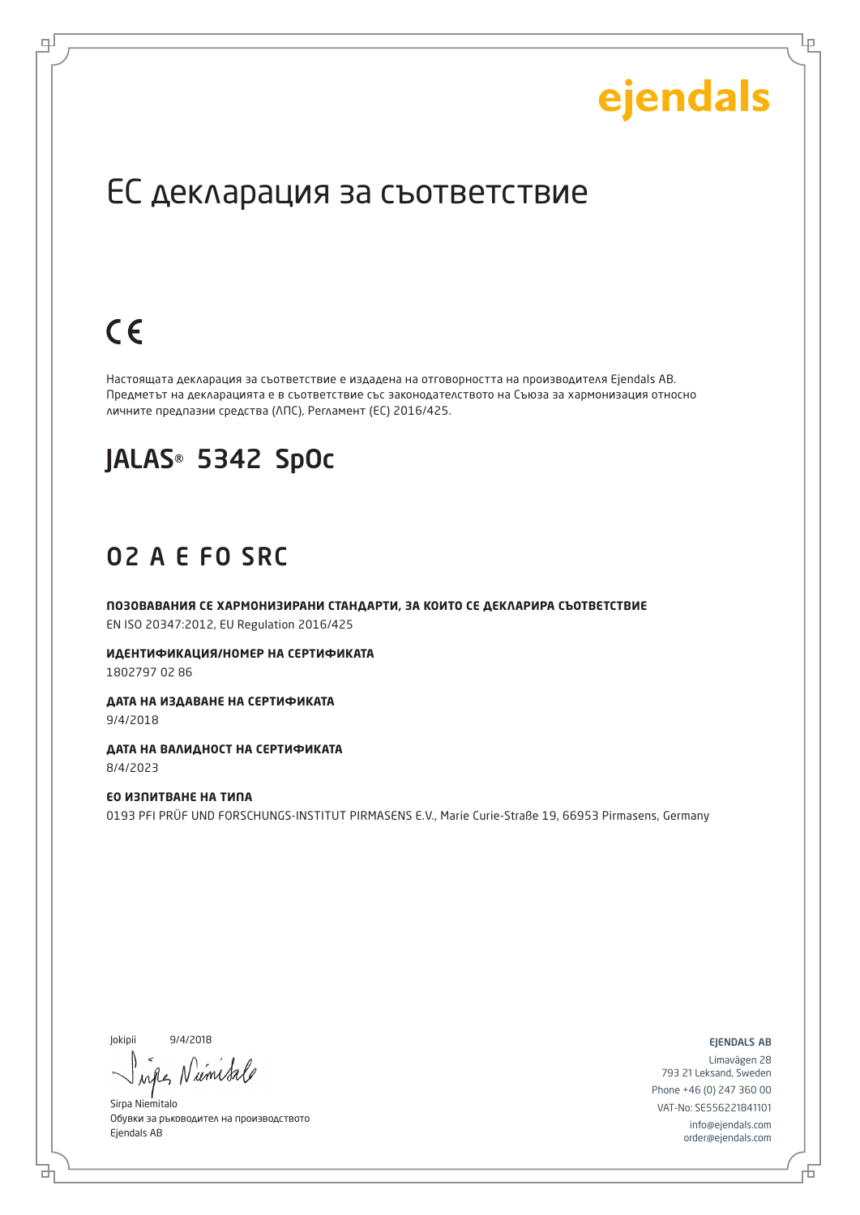Lр

## ЕС декларация за съответствие

# $C \in$

로

Настоящата декларация за съответствие е издадена на отговорността на производителя Ejendals AB. Предметът на декларацията е в съответствие със законодателството на Съюза за хармонизация относно личните предпазни средства (ЛПС), Регламент (ЕС) 2016/425.

## JALAS® 5342 SpOc

### O2 A E FO SRC

**ПОЗОВАВАНИЯ СЕ ХАРМОНИЗИРАНИ СТАНДАРТИ, ЗА КОИТО СЕ ДЕКЛАРИРА СЪОТВЕТСТВИЕ** EN ISO 20347:2012, EU Regulation 2016/425

**ИДЕНТИФИКАЦИЯ/НОМЕР НА СЕРТИФИКАТА** 1802797 02 86

**ДАТА НА ИЗДАВАНЕ НА СЕРТИФИКАТА** 9/4/2018

**ДАТА НА ВАЛИДНОСТ НА СЕРТИФИКАТА** 8/4/2023

**ЕО ИЗПИТВАНЕ НА ТИПА** 0193 PFI PRÜF UND FORSCHUNGS-INSTITUT PIRMASENS E.V., Marie Curie-Straße 19, 66953 Pirmasens, Germany

Jokipii 9/4/2018

Num when

Sirpa Niemitalo Обувки за ръководител на производството Ejendals AB

ejendals ab

б